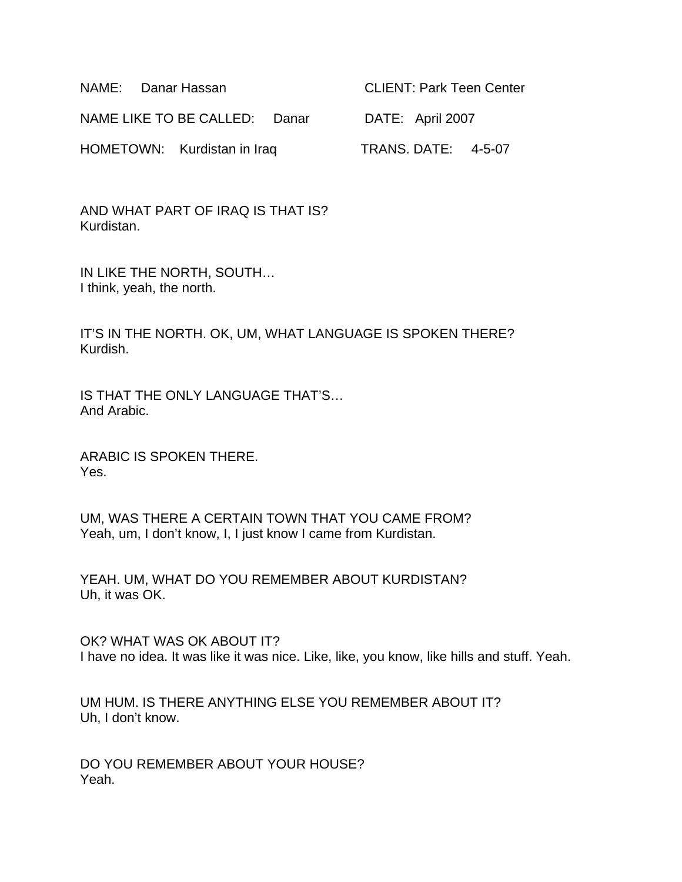| NAME: Danar Hassan            | <b>CLIENT: Park Teen Center</b> |
|-------------------------------|---------------------------------|
| NAME LIKE TO BE CALLED: Danar | DATE: April 2007                |
| HOMETOWN: Kurdistan in Iraq   | <b>TRANS. DATE: 4-5-07</b>      |

AND WHAT PART OF IRAQ IS THAT IS? Kurdistan.

IN LIKE THE NORTH, SOUTH… I think, yeah, the north.

IT'S IN THE NORTH. OK, UM, WHAT LANGUAGE IS SPOKEN THERE? Kurdish.

IS THAT THE ONLY LANGUAGE THAT'S… And Arabic.

ARABIC IS SPOKEN THERE. Yes.

UM, WAS THERE A CERTAIN TOWN THAT YOU CAME FROM? Yeah, um, I don't know, I, I just know I came from Kurdistan.

YEAH. UM, WHAT DO YOU REMEMBER ABOUT KURDISTAN? Uh, it was OK.

OK? WHAT WAS OK ABOUT IT? I have no idea. It was like it was nice. Like, like, you know, like hills and stuff. Yeah.

UM HUM. IS THERE ANYTHING ELSE YOU REMEMBER ABOUT IT? Uh, I don't know.

DO YOU REMEMBER ABOUT YOUR HOUSE? Yeah.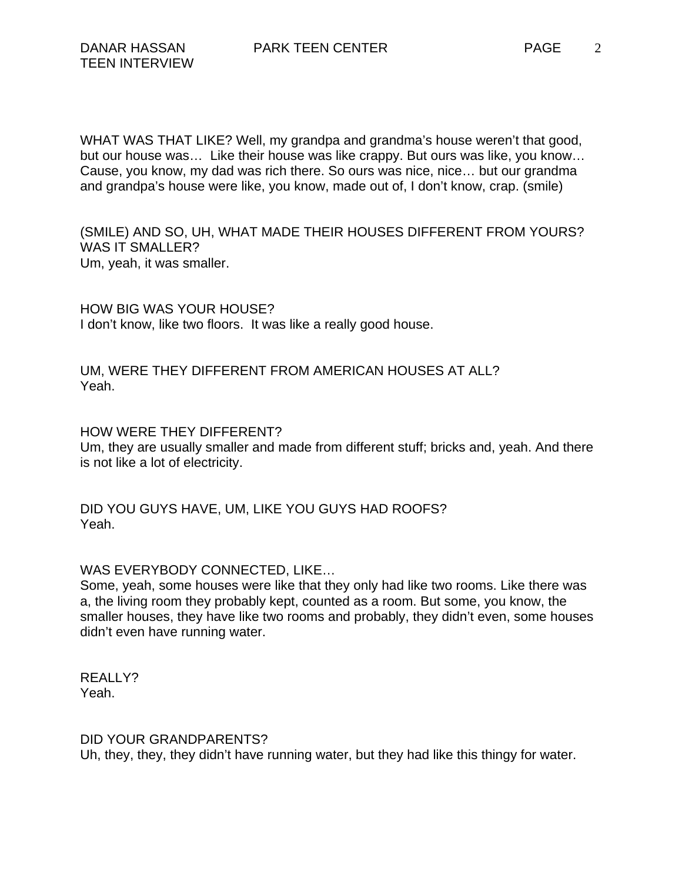WHAT WAS THAT LIKE? Well, my grandpa and grandma's house weren't that good, but our house was… Like their house was like crappy. But ours was like, you know… Cause, you know, my dad was rich there. So ours was nice, nice… but our grandma and grandpa's house were like, you know, made out of, I don't know, crap. (smile)

(SMILE) AND SO, UH, WHAT MADE THEIR HOUSES DIFFERENT FROM YOURS? WAS IT SMALLER? Um, yeah, it was smaller.

HOW BIG WAS YOUR HOUSE? I don't know, like two floors. It was like a really good house.

UM, WERE THEY DIFFERENT FROM AMERICAN HOUSES AT ALL? Yeah.

HOW WERE THEY DIFFERENT? Um, they are usually smaller and made from different stuff; bricks and, yeah. And there is not like a lot of electricity.

DID YOU GUYS HAVE, UM, LIKE YOU GUYS HAD ROOFS? Yeah.

WAS EVERYBODY CONNECTED, LIKE…

Some, yeah, some houses were like that they only had like two rooms. Like there was a, the living room they probably kept, counted as a room. But some, you know, the smaller houses, they have like two rooms and probably, they didn't even, some houses didn't even have running water.

REALLY? Yeah.

DID YOUR GRANDPARENTS?

Uh, they, they, they didn't have running water, but they had like this thingy for water.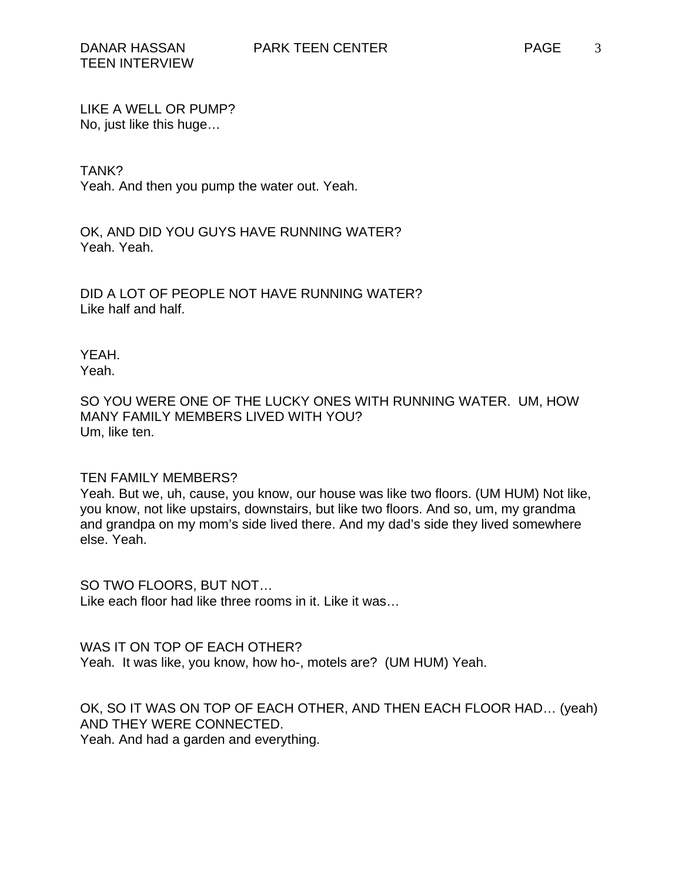LIKE A WELL OR PUMP? No, just like this huge…

## TANK?

Yeah. And then you pump the water out. Yeah.

OK, AND DID YOU GUYS HAVE RUNNING WATER? Yeah. Yeah.

DID A LOT OF PEOPLE NOT HAVE RUNNING WATER? Like half and half.

YEAH. Yeah.

SO YOU WERE ONE OF THE LUCKY ONES WITH RUNNING WATER. UM, HOW MANY FAMILY MEMBERS LIVED WITH YOU? Um, like ten.

## TEN FAMILY MEMBERS?

Yeah. But we, uh, cause, you know, our house was like two floors. (UM HUM) Not like, you know, not like upstairs, downstairs, but like two floors. And so, um, my grandma and grandpa on my mom's side lived there. And my dad's side they lived somewhere else. Yeah.

SO TWO FLOORS, BUT NOT… Like each floor had like three rooms in it. Like it was…

WAS IT ON TOP OF EACH OTHER? Yeah. It was like, you know, how ho-, motels are? (UM HUM) Yeah.

OK, SO IT WAS ON TOP OF EACH OTHER, AND THEN EACH FLOOR HAD… (yeah) AND THEY WERE CONNECTED. Yeah. And had a garden and everything.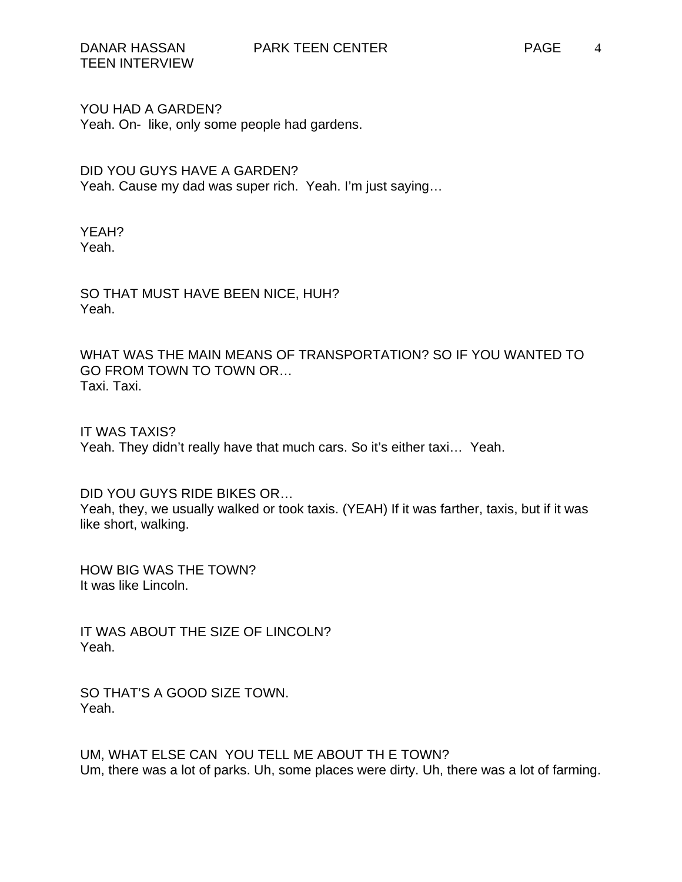YOU HAD A GARDEN? Yeah. On- like, only some people had gardens.

DID YOU GUYS HAVE A GARDEN? Yeah. Cause my dad was super rich. Yeah. I'm just saying…

YEAH? Yeah.

SO THAT MUST HAVE BEEN NICE, HUH? Yeah.

WHAT WAS THE MAIN MEANS OF TRANSPORTATION? SO IF YOU WANTED TO GO FROM TOWN TO TOWN OR… Taxi. Taxi.

IT WAS TAXIS? Yeah. They didn't really have that much cars. So it's either taxi… Yeah.

DID YOU GUYS RIDE BIKES OR… Yeah, they, we usually walked or took taxis. (YEAH) If it was farther, taxis, but if it was like short, walking.

HOW BIG WAS THE TOWN? It was like Lincoln.

IT WAS ABOUT THE SIZE OF LINCOLN? Yeah.

SO THAT'S A GOOD SIZE TOWN. Yeah.

UM, WHAT ELSE CAN YOU TELL ME ABOUT TH E TOWN? Um, there was a lot of parks. Uh, some places were dirty. Uh, there was a lot of farming.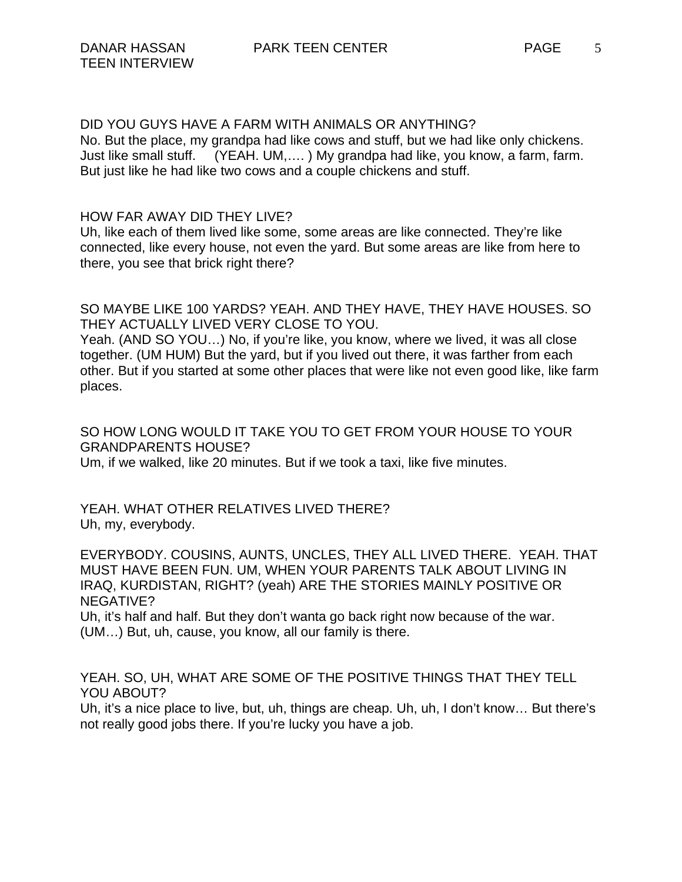DID YOU GUYS HAVE A FARM WITH ANIMALS OR ANYTHING? No. But the place, my grandpa had like cows and stuff, but we had like only chickens. Just like small stuff. (YEAH. UM,…. ) My grandpa had like, you know, a farm, farm. But just like he had like two cows and a couple chickens and stuff.

HOW FAR AWAY DID THEY LIVE?

Uh, like each of them lived like some, some areas are like connected. They're like connected, like every house, not even the yard. But some areas are like from here to there, you see that brick right there?

SO MAYBE LIKE 100 YARDS? YEAH. AND THEY HAVE, THEY HAVE HOUSES. SO THEY ACTUALLY LIVED VERY CLOSE TO YOU.

Yeah. (AND SO YOU…) No, if you're like, you know, where we lived, it was all close together. (UM HUM) But the yard, but if you lived out there, it was farther from each other. But if you started at some other places that were like not even good like, like farm places.

SO HOW LONG WOULD IT TAKE YOU TO GET FROM YOUR HOUSE TO YOUR GRANDPARENTS HOUSE? Um, if we walked, like 20 minutes. But if we took a taxi, like five minutes.

YEAH. WHAT OTHER RELATIVES LIVED THERE? Uh, my, everybody.

EVERYBODY. COUSINS, AUNTS, UNCLES, THEY ALL LIVED THERE. YEAH. THAT MUST HAVE BEEN FUN. UM, WHEN YOUR PARENTS TALK ABOUT LIVING IN IRAQ, KURDISTAN, RIGHT? (yeah) ARE THE STORIES MAINLY POSITIVE OR NEGATIVE?

Uh, it's half and half. But they don't wanta go back right now because of the war. (UM…) But, uh, cause, you know, all our family is there.

YEAH. SO, UH, WHAT ARE SOME OF THE POSITIVE THINGS THAT THEY TELL YOU ABOUT?

Uh, it's a nice place to live, but, uh, things are cheap. Uh, uh, I don't know… But there's not really good jobs there. If you're lucky you have a job.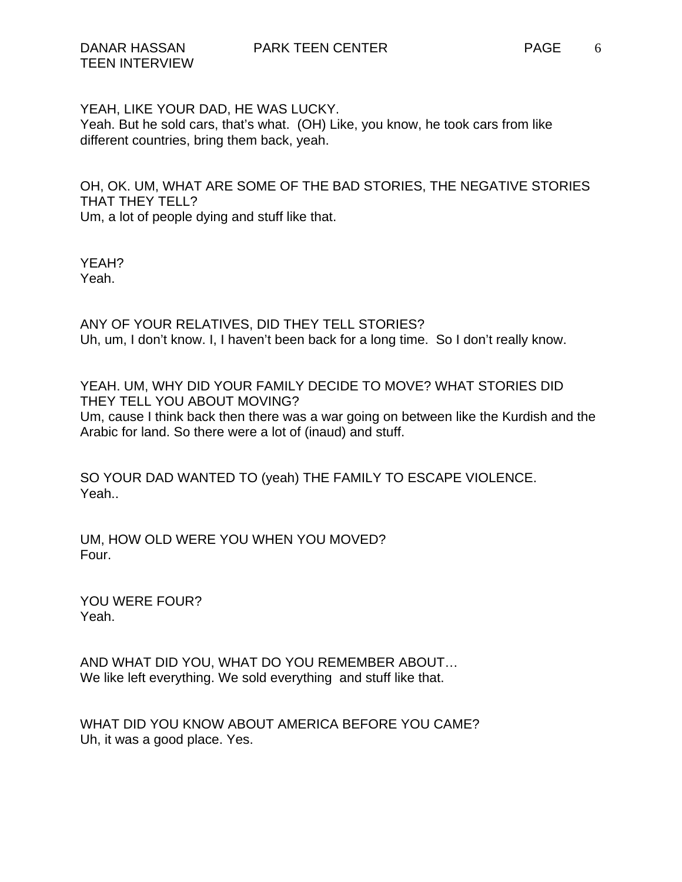YEAH, LIKE YOUR DAD, HE WAS LUCKY. Yeah. But he sold cars, that's what. (OH) Like, you know, he took cars from like different countries, bring them back, yeah.

OH, OK. UM, WHAT ARE SOME OF THE BAD STORIES, THE NEGATIVE STORIES THAT THEY TELL? Um, a lot of people dying and stuff like that.

YEAH? Yeah.

ANY OF YOUR RELATIVES, DID THEY TELL STORIES? Uh, um, I don't know. I, I haven't been back for a long time. So I don't really know.

YEAH. UM, WHY DID YOUR FAMILY DECIDE TO MOVE? WHAT STORIES DID THEY TELL YOU ABOUT MOVING? Um, cause I think back then there was a war going on between like the Kurdish and the Arabic for land. So there were a lot of (inaud) and stuff.

SO YOUR DAD WANTED TO (yeah) THE FAMILY TO ESCAPE VIOLENCE. Yeah..

UM, HOW OLD WERE YOU WHEN YOU MOVED? Four.

YOU WERE FOUR? Yeah.

AND WHAT DID YOU, WHAT DO YOU REMEMBER ABOUT… We like left everything. We sold everything and stuff like that.

WHAT DID YOU KNOW ABOUT AMERICA BEFORE YOU CAME? Uh, it was a good place. Yes.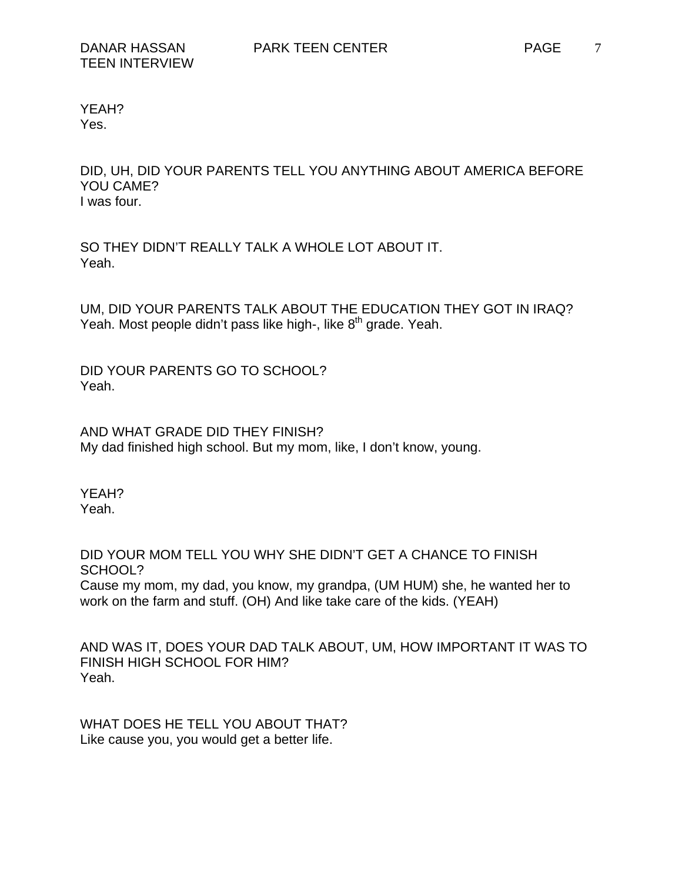YEAH? Yes.

DID, UH, DID YOUR PARENTS TELL YOU ANYTHING ABOUT AMERICA BEFORE YOU CAME? I was four.

SO THEY DIDN'T REALLY TALK A WHOLE LOT ABOUT IT. Yeah.

UM, DID YOUR PARENTS TALK ABOUT THE EDUCATION THEY GOT IN IRAQ? Yeah. Most people didn't pass like high-, like  $8<sup>th</sup>$  grade. Yeah.

DID YOUR PARENTS GO TO SCHOOL? Yeah.

AND WHAT GRADE DID THEY FINISH? My dad finished high school. But my mom, like, I don't know, young.

YEAH? Yeah.

DID YOUR MOM TELL YOU WHY SHE DIDN'T GET A CHANCE TO FINISH SCHOOL? Cause my mom, my dad, you know, my grandpa, (UM HUM) she, he wanted her to work on the farm and stuff. (OH) And like take care of the kids. (YEAH)

AND WAS IT, DOES YOUR DAD TALK ABOUT, UM, HOW IMPORTANT IT WAS TO FINISH HIGH SCHOOL FOR HIM? Yeah.

WHAT DOES HE TELL YOU ABOUT THAT? Like cause you, you would get a better life.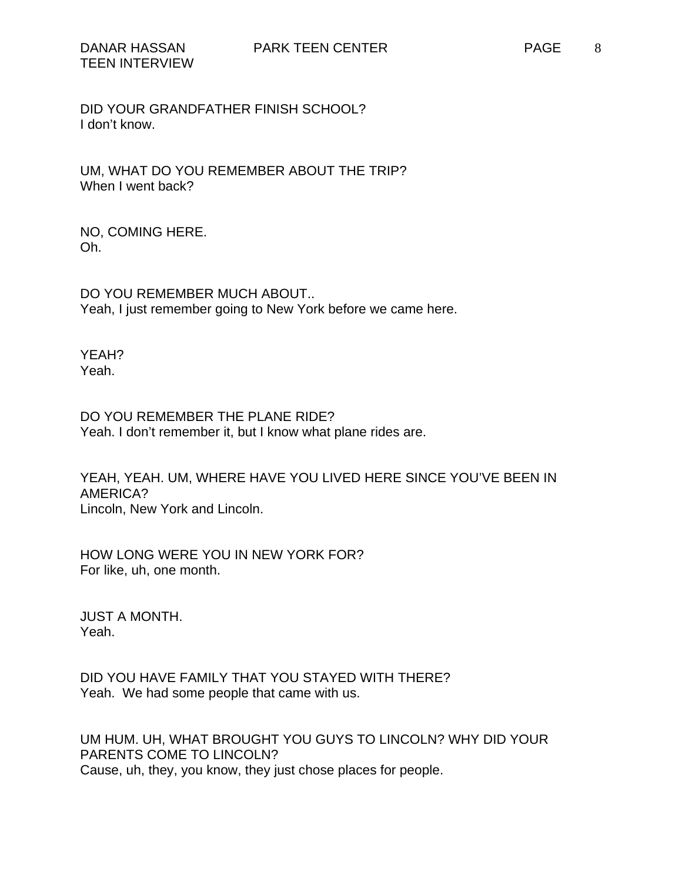DID YOUR GRANDFATHER FINISH SCHOOL? I don't know.

UM, WHAT DO YOU REMEMBER ABOUT THE TRIP? When I went back?

NO, COMING HERE. Oh.

DO YOU REMEMBER MUCH ABOUT.. Yeah, I just remember going to New York before we came here.

YEAH? Yeah.

DO YOU REMEMBER THE PLANE RIDE? Yeah. I don't remember it, but I know what plane rides are.

YEAH, YEAH. UM, WHERE HAVE YOU LIVED HERE SINCE YOU'VE BEEN IN AMERICA? Lincoln, New York and Lincoln.

HOW LONG WERE YOU IN NEW YORK FOR? For like, uh, one month.

JUST A MONTH. Yeah.

DID YOU HAVE FAMILY THAT YOU STAYED WITH THERE? Yeah. We had some people that came with us.

UM HUM. UH, WHAT BROUGHT YOU GUYS TO LINCOLN? WHY DID YOUR PARENTS COME TO LINCOLN? Cause, uh, they, you know, they just chose places for people.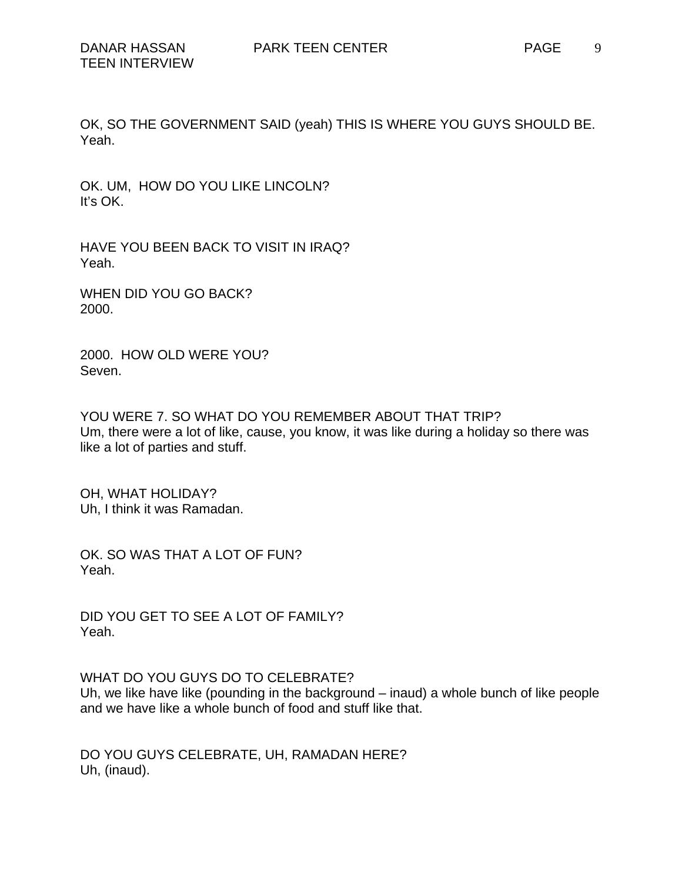OK, SO THE GOVERNMENT SAID (yeah) THIS IS WHERE YOU GUYS SHOULD BE. Yeah.

OK. UM, HOW DO YOU LIKE LINCOLN? It's OK.

HAVE YOU BEEN BACK TO VISIT IN IRAQ? Yeah.

WHEN DID YOU GO BACK? 2000.

2000. HOW OLD WERE YOU? Seven.

YOU WERE 7. SO WHAT DO YOU REMEMBER ABOUT THAT TRIP? Um, there were a lot of like, cause, you know, it was like during a holiday so there was like a lot of parties and stuff.

OH, WHAT HOLIDAY? Uh, I think it was Ramadan.

OK. SO WAS THAT A LOT OF FUN? Yeah.

DID YOU GET TO SEE A LOT OF FAMILY? Yeah.

WHAT DO YOU GUYS DO TO CELEBRATE?

Uh, we like have like (pounding in the background – inaud) a whole bunch of like people and we have like a whole bunch of food and stuff like that.

DO YOU GUYS CELEBRATE, UH, RAMADAN HERE? Uh, (inaud).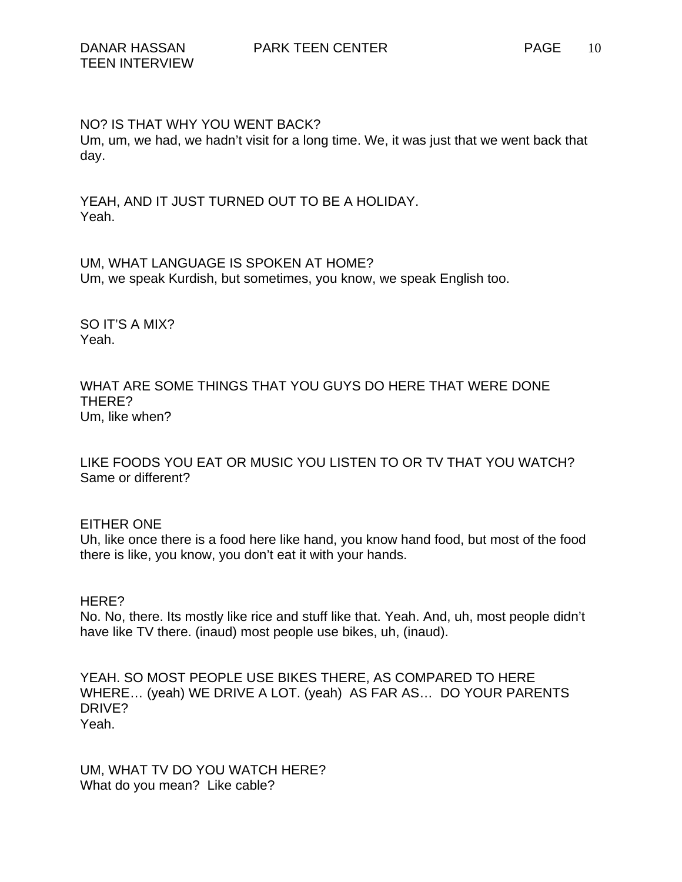NO? IS THAT WHY YOU WENT BACK?

Um, um, we had, we hadn't visit for a long time. We, it was just that we went back that day.

YEAH, AND IT JUST TURNED OUT TO BE A HOLIDAY. Yeah.

UM, WHAT LANGUAGE IS SPOKEN AT HOME? Um, we speak Kurdish, but sometimes, you know, we speak English too.

SO IT'S A MIX? Yeah.

WHAT ARE SOME THINGS THAT YOU GUYS DO HERE THAT WERE DONE THERE? Um, like when?

LIKE FOODS YOU EAT OR MUSIC YOU LISTEN TO OR TV THAT YOU WATCH? Same or different?

EITHER ONE

Uh, like once there is a food here like hand, you know hand food, but most of the food there is like, you know, you don't eat it with your hands.

HERE?

No. No, there. Its mostly like rice and stuff like that. Yeah. And, uh, most people didn't have like TV there. (inaud) most people use bikes, uh, (inaud).

YEAH. SO MOST PEOPLE USE BIKES THERE, AS COMPARED TO HERE WHERE… (yeah) WE DRIVE A LOT. (yeah) AS FAR AS… DO YOUR PARENTS DRIVE? Yeah.

UM, WHAT TV DO YOU WATCH HERE? What do you mean? Like cable?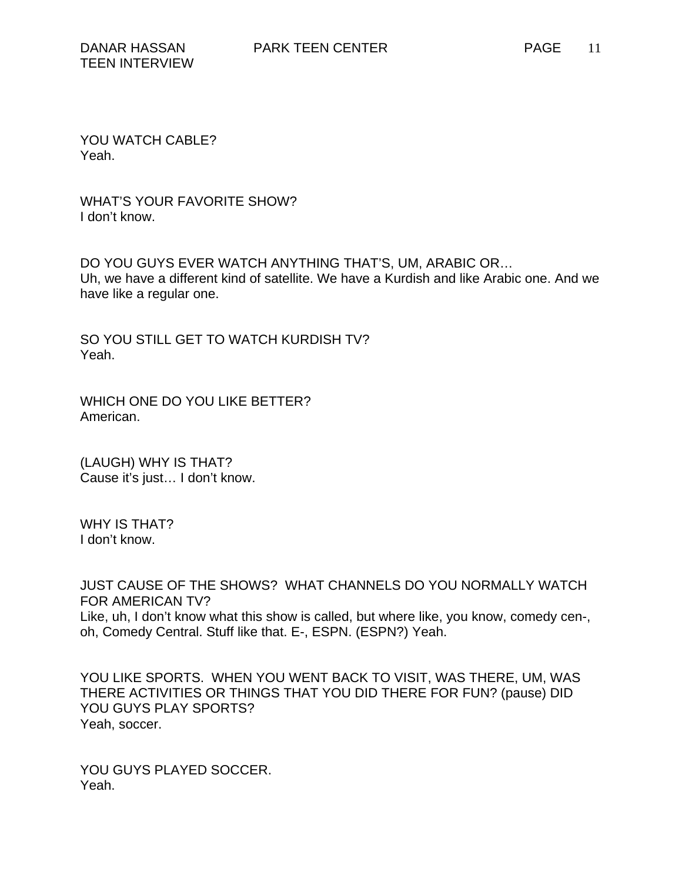YOU WATCH CABLE? Yeah.

WHAT'S YOUR FAVORITE SHOW? I don't know.

DO YOU GUYS EVER WATCH ANYTHING THAT'S, UM, ARABIC OR… Uh, we have a different kind of satellite. We have a Kurdish and like Arabic one. And we have like a regular one.

SO YOU STILL GET TO WATCH KURDISH TV? Yeah.

WHICH ONE DO YOU LIKE BETTER? American.

(LAUGH) WHY IS THAT? Cause it's just… I don't know.

WHY IS THAT? I don't know.

JUST CAUSE OF THE SHOWS? WHAT CHANNELS DO YOU NORMALLY WATCH FOR AMERICAN TV? Like, uh, I don't know what this show is called, but where like, you know, comedy cen-, oh, Comedy Central. Stuff like that. E-, ESPN. (ESPN?) Yeah.

YOU LIKE SPORTS. WHEN YOU WENT BACK TO VISIT, WAS THERE, UM, WAS THERE ACTIVITIES OR THINGS THAT YOU DID THERE FOR FUN? (pause) DID YOU GUYS PLAY SPORTS? Yeah, soccer.

YOU GUYS PLAYED SOCCER. Yeah.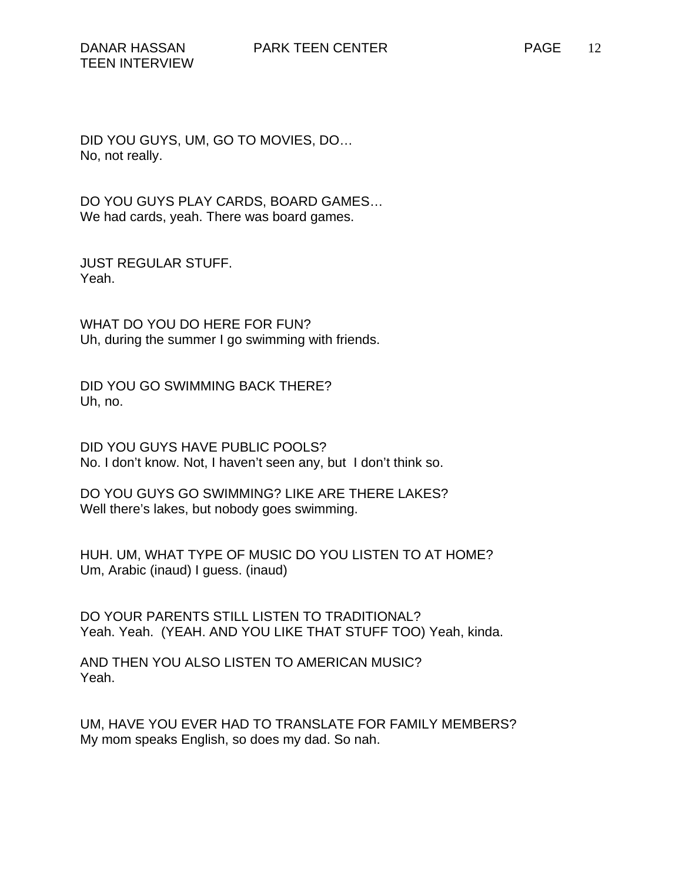DID YOU GUYS, UM, GO TO MOVIES, DO… No, not really.

DO YOU GUYS PLAY CARDS, BOARD GAMES… We had cards, yeah. There was board games.

JUST REGULAR STUFF. Yeah.

WHAT DO YOU DO HERE FOR FUN? Uh, during the summer I go swimming with friends.

DID YOU GO SWIMMING BACK THERE? Uh, no.

DID YOU GUYS HAVE PUBLIC POOLS? No. I don't know. Not, I haven't seen any, but I don't think so.

DO YOU GUYS GO SWIMMING? LIKE ARE THERE LAKES? Well there's lakes, but nobody goes swimming.

HUH. UM, WHAT TYPE OF MUSIC DO YOU LISTEN TO AT HOME? Um, Arabic (inaud) I guess. (inaud)

DO YOUR PARENTS STILL LISTEN TO TRADITIONAL? Yeah. Yeah. (YEAH. AND YOU LIKE THAT STUFF TOO) Yeah, kinda.

AND THEN YOU ALSO LISTEN TO AMERICAN MUSIC? Yeah.

UM, HAVE YOU EVER HAD TO TRANSLATE FOR FAMILY MEMBERS? My mom speaks English, so does my dad. So nah.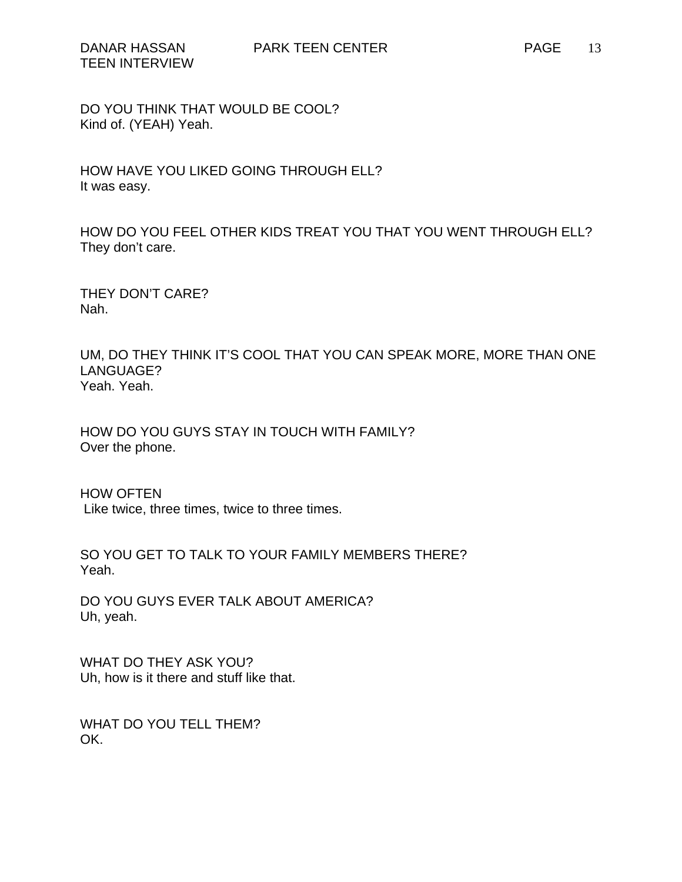HOW HAVE YOU LIKED GOING THROUGH ELL? It was easy.

HOW DO YOU FEEL OTHER KIDS TREAT YOU THAT YOU WENT THROUGH ELL? They don't care.

THEY DON'T CARE? Nah.

UM, DO THEY THINK IT'S COOL THAT YOU CAN SPEAK MORE, MORE THAN ONE LANGUAGE? Yeah. Yeah.

HOW DO YOU GUYS STAY IN TOUCH WITH FAMILY? Over the phone.

HOW OFTEN Like twice, three times, twice to three times.

SO YOU GET TO TALK TO YOUR FAMILY MEMBERS THERE? Yeah.

DO YOU GUYS EVER TALK ABOUT AMERICA? Uh, yeah.

WHAT DO THEY ASK YOU? Uh, how is it there and stuff like that.

WHAT DO YOU TELL THEM? OK.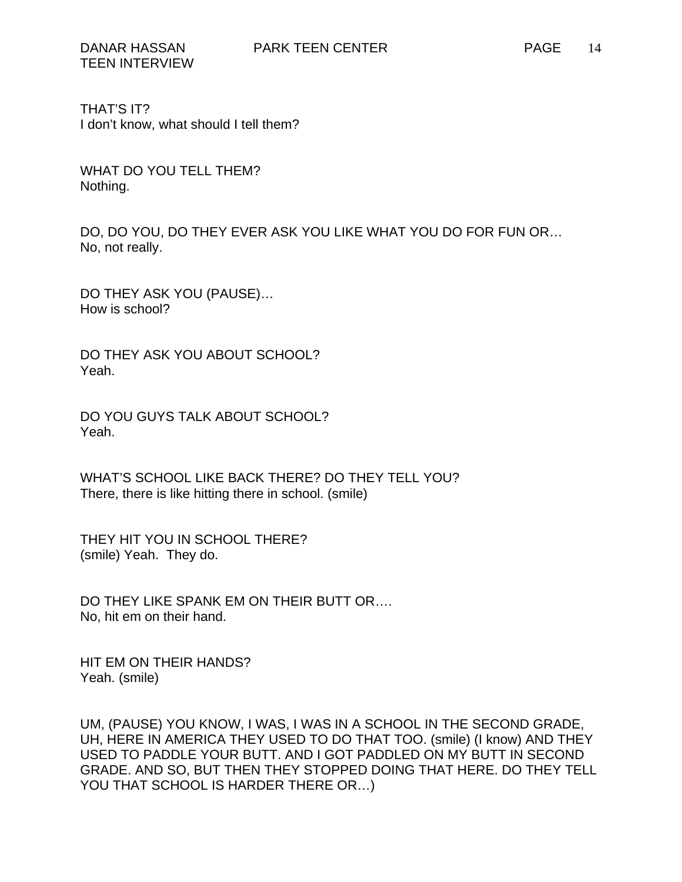THAT'S IT? I don't know, what should I tell them?

WHAT DO YOU TELL THEM? Nothing.

DO, DO YOU, DO THEY EVER ASK YOU LIKE WHAT YOU DO FOR FUN OR… No, not really.

DO THEY ASK YOU (PAUSE)… How is school?

DO THEY ASK YOU ABOUT SCHOOL? Yeah.

DO YOU GUYS TALK ABOUT SCHOOL? Yeah.

WHAT'S SCHOOL LIKE BACK THERE? DO THEY TELL YOU? There, there is like hitting there in school. (smile)

THEY HIT YOU IN SCHOOL THERE? (smile) Yeah. They do.

DO THEY LIKE SPANK EM ON THEIR BUTT OR…. No, hit em on their hand.

HIT EM ON THEIR HANDS? Yeah. (smile)

UM, (PAUSE) YOU KNOW, I WAS, I WAS IN A SCHOOL IN THE SECOND GRADE, UH, HERE IN AMERICA THEY USED TO DO THAT TOO. (smile) (I know) AND THEY USED TO PADDLE YOUR BUTT. AND I GOT PADDLED ON MY BUTT IN SECOND GRADE. AND SO, BUT THEN THEY STOPPED DOING THAT HERE. DO THEY TELL YOU THAT SCHOOL IS HARDER THERE OR...)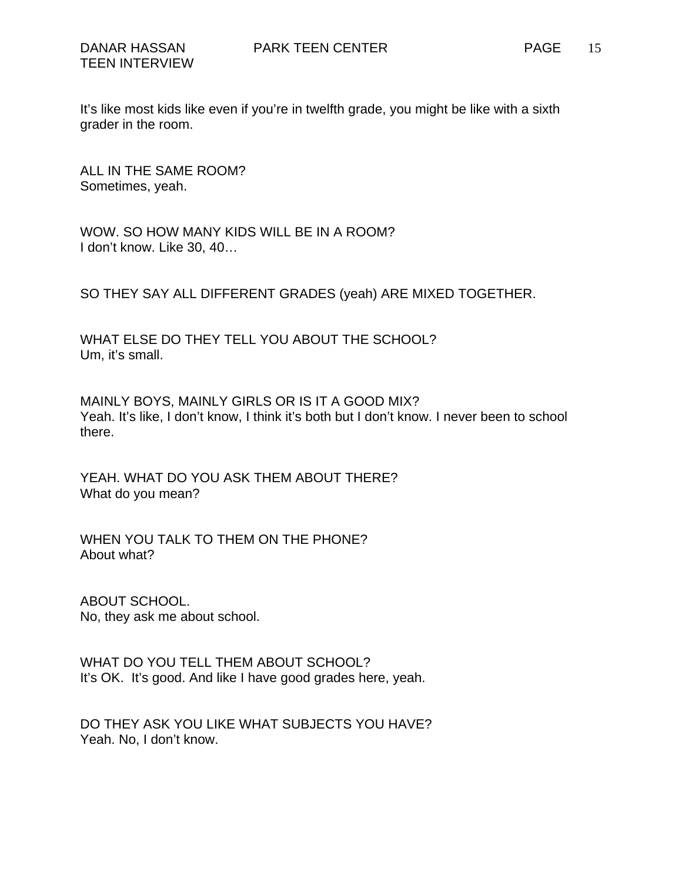It's like most kids like even if you're in twelfth grade, you might be like with a sixth grader in the room.

ALL IN THE SAME ROOM? Sometimes, yeah.

WOW. SO HOW MANY KIDS WILL BE IN A ROOM? I don't know. Like 30, 40…

SO THEY SAY ALL DIFFERENT GRADES (yeah) ARE MIXED TOGETHER.

WHAT ELSE DO THEY TELL YOU ABOUT THE SCHOOL? Um, it's small.

MAINLY BOYS, MAINLY GIRLS OR IS IT A GOOD MIX? Yeah. It's like, I don't know, I think it's both but I don't know. I never been to school there.

YEAH. WHAT DO YOU ASK THEM ABOUT THERE? What do you mean?

WHEN YOU TALK TO THEM ON THE PHONE? About what?

ABOUT SCHOOL. No, they ask me about school.

WHAT DO YOU TELL THEM ABOUT SCHOOL? It's OK. It's good. And like I have good grades here, yeah.

DO THEY ASK YOU LIKE WHAT SUBJECTS YOU HAVE? Yeah. No, I don't know.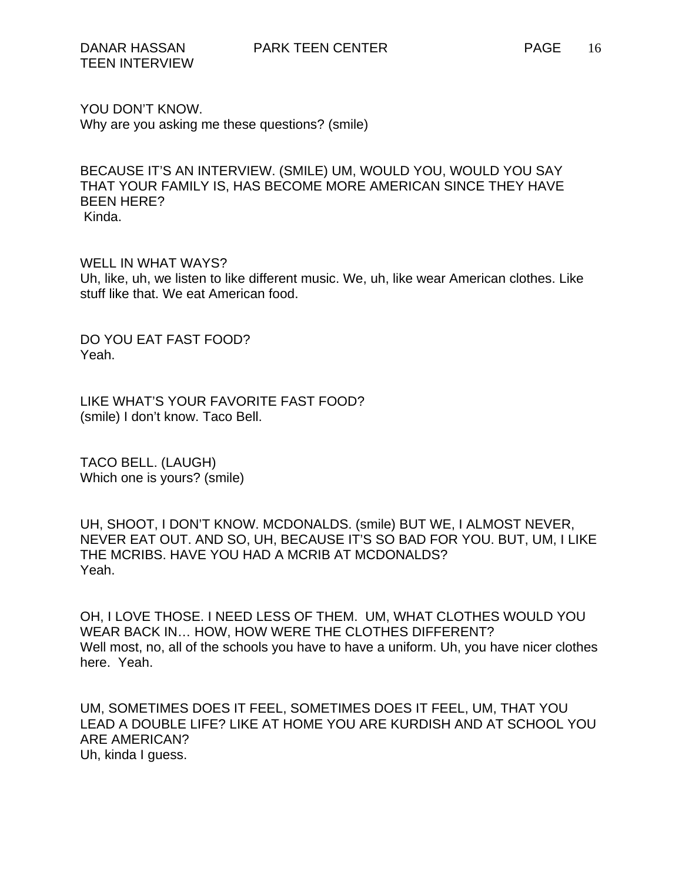YOU DON'T KNOW. Why are you asking me these questions? (smile)

BECAUSE IT'S AN INTERVIEW. (SMILE) UM, WOULD YOU, WOULD YOU SAY THAT YOUR FAMILY IS, HAS BECOME MORE AMERICAN SINCE THEY HAVE BEEN HERE? Kinda.

WELL IN WHAT WAYS? Uh, like, uh, we listen to like different music. We, uh, like wear American clothes. Like stuff like that. We eat American food.

DO YOU EAT FAST FOOD? Yeah.

LIKE WHAT'S YOUR FAVORITE FAST FOOD? (smile) I don't know. Taco Bell.

TACO BELL. (LAUGH) Which one is yours? (smile)

UH, SHOOT, I DON'T KNOW. MCDONALDS. (smile) BUT WE, I ALMOST NEVER, NEVER EAT OUT. AND SO, UH, BECAUSE IT'S SO BAD FOR YOU. BUT, UM, I LIKE THE MCRIBS. HAVE YOU HAD A MCRIB AT MCDONALDS? Yeah.

OH, I LOVE THOSE. I NEED LESS OF THEM. UM, WHAT CLOTHES WOULD YOU WEAR BACK IN… HOW, HOW WERE THE CLOTHES DIFFERENT? Well most, no, all of the schools you have to have a uniform. Uh, you have nicer clothes here. Yeah.

UM, SOMETIMES DOES IT FEEL, SOMETIMES DOES IT FEEL, UM, THAT YOU LEAD A DOUBLE LIFE? LIKE AT HOME YOU ARE KURDISH AND AT SCHOOL YOU ARE AMERICAN? Uh, kinda I guess.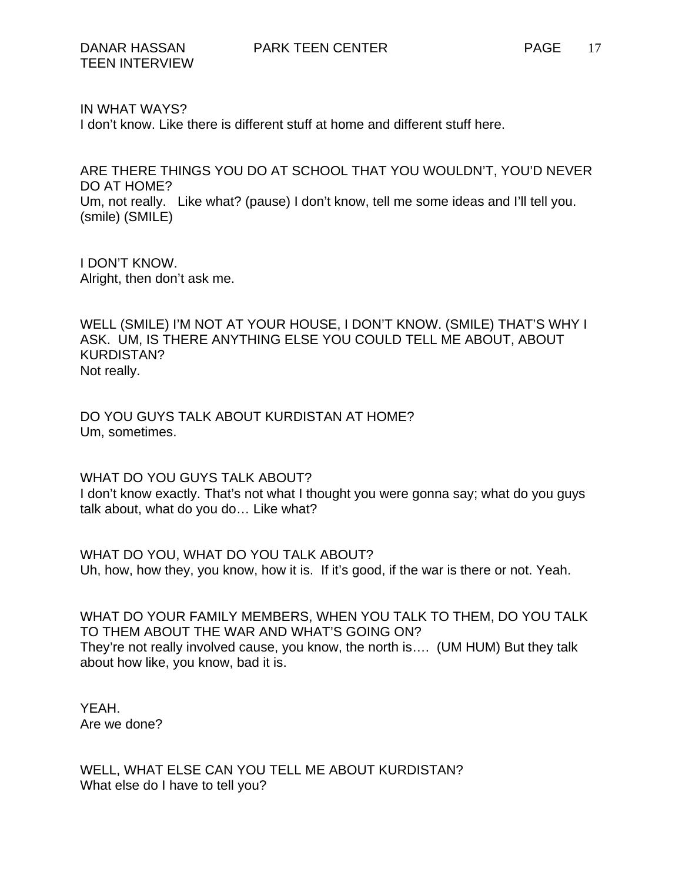## IN WHAT WAYS?

I don't know. Like there is different stuff at home and different stuff here.

ARE THERE THINGS YOU DO AT SCHOOL THAT YOU WOULDN'T, YOU'D NEVER DO AT HOME? Um, not really. Like what? (pause) I don't know, tell me some ideas and I'll tell you. (smile) (SMILE)

I DON'T KNOW. Alright, then don't ask me.

WELL (SMILE) I'M NOT AT YOUR HOUSE, I DON'T KNOW. (SMILE) THAT'S WHY I ASK. UM, IS THERE ANYTHING ELSE YOU COULD TELL ME ABOUT, ABOUT KURDISTAN? Not really.

DO YOU GUYS TALK ABOUT KURDISTAN AT HOME? Um, sometimes.

WHAT DO YOU GUYS TALK ABOUT? I don't know exactly. That's not what I thought you were gonna say; what do you guys talk about, what do you do… Like what?

WHAT DO YOU, WHAT DO YOU TALK ABOUT? Uh, how, how they, you know, how it is. If it's good, if the war is there or not. Yeah.

WHAT DO YOUR FAMILY MEMBERS, WHEN YOU TALK TO THEM, DO YOU TALK TO THEM ABOUT THE WAR AND WHAT'S GOING ON? They're not really involved cause, you know, the north is…. (UM HUM) But they talk about how like, you know, bad it is.

YEAH. Are we done?

WELL, WHAT ELSE CAN YOU TELL ME ABOUT KURDISTAN? What else do I have to tell you?